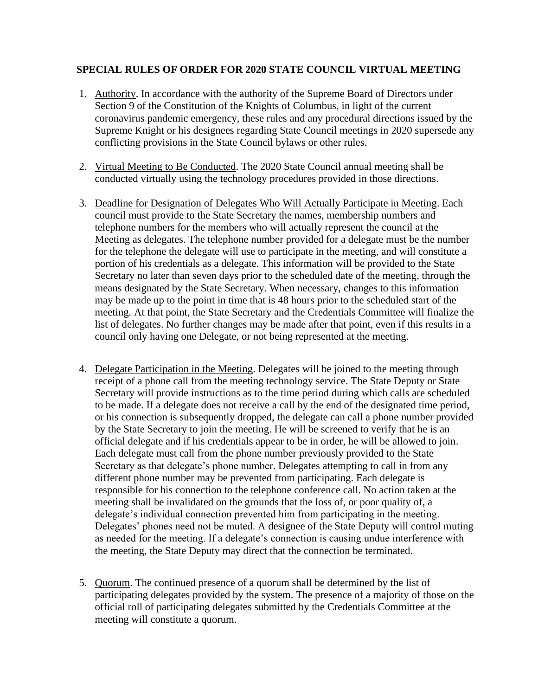## **SPECIAL RULES OF ORDER FOR 2020 STATE COUNCIL VIRTUAL MEETING**

- 1. Authority. In accordance with the authority of the Supreme Board of Directors under Section 9 of the Constitution of the Knights of Columbus, in light of the current coronavirus pandemic emergency, these rules and any procedural directions issued by the Supreme Knight or his designees regarding State Council meetings in 2020 supersede any conflicting provisions in the State Council bylaws or other rules.
- 2. Virtual Meeting to Be Conducted. The 2020 State Council annual meeting shall be conducted virtually using the technology procedures provided in those directions.
- 3. Deadline for Designation of Delegates Who Will Actually Participate in Meeting. Each council must provide to the State Secretary the names, membership numbers and telephone numbers for the members who will actually represent the council at the Meeting as delegates. The telephone number provided for a delegate must be the number for the telephone the delegate will use to participate in the meeting, and will constitute a portion of his credentials as a delegate. This information will be provided to the State Secretary no later than seven days prior to the scheduled date of the meeting, through the means designated by the State Secretary. When necessary, changes to this information may be made up to the point in time that is 48 hours prior to the scheduled start of the meeting. At that point, the State Secretary and the Credentials Committee will finalize the list of delegates. No further changes may be made after that point, even if this results in a council only having one Delegate, or not being represented at the meeting.
- 4. Delegate Participation in the Meeting. Delegates will be joined to the meeting through receipt of a phone call from the meeting technology service. The State Deputy or State Secretary will provide instructions as to the time period during which calls are scheduled to be made. If a delegate does not receive a call by the end of the designated time period, or his connection is subsequently dropped, the delegate can call a phone number provided by the State Secretary to join the meeting. He will be screened to verify that he is an official delegate and if his credentials appear to be in order, he will be allowed to join. Each delegate must call from the phone number previously provided to the State Secretary as that delegate's phone number. Delegates attempting to call in from any different phone number may be prevented from participating. Each delegate is responsible for his connection to the telephone conference call. No action taken at the meeting shall be invalidated on the grounds that the loss of, or poor quality of, a delegate's individual connection prevented him from participating in the meeting. Delegates' phones need not be muted. A designee of the State Deputy will control muting as needed for the meeting. If a delegate's connection is causing undue interference with the meeting, the State Deputy may direct that the connection be terminated.
- 5. Quorum. The continued presence of a quorum shall be determined by the list of participating delegates provided by the system. The presence of a majority of those on the official roll of participating delegates submitted by the Credentials Committee at the meeting will constitute a quorum.